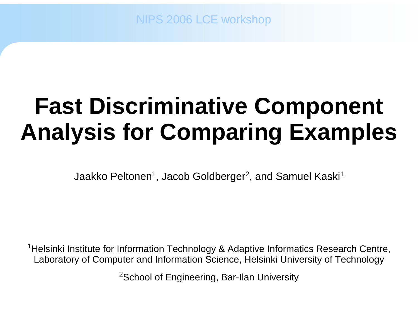NIPS 2006 LCE workshop

# **Fast Discriminative Component Analysis for Comparing Examples**

Jaakko Peltonen<sup>1</sup>, Jacob Goldberger<sup>2</sup>, and Samuel Kaski<sup>1</sup>

<sup>1</sup>Helsinki Institute for Information Technology & Adaptive Informatics Research Centre, Laboratory of Computer and Information Science, Helsinki University of Technology

<sup>2</sup>School of Engineering, Bar-Ilan University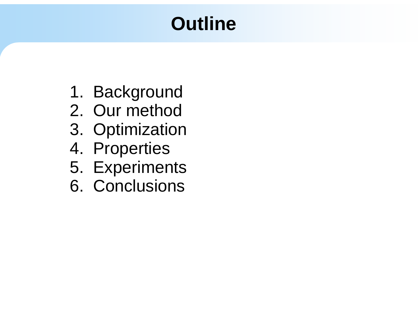# **Outline**

- 1. Background
- 2. Our method
- 3. Optimization
- 4. Properties
- 5. Experiments
- 6. Conclusions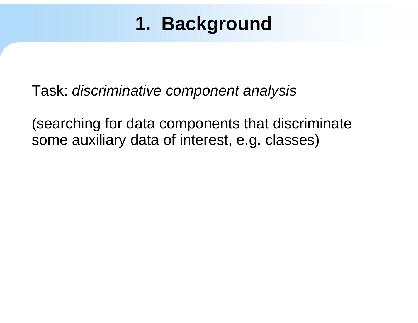Task: *discriminative component analysis*

(searching for data components that discriminate some auxiliary data of interest, e.g. classes)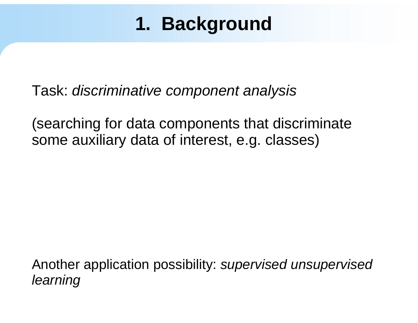Task: *discriminative component analysis*

(searching for data components that discriminate some auxiliary data of interest, e.g. classes)

Another application possibility: *supervised unsupervised learning*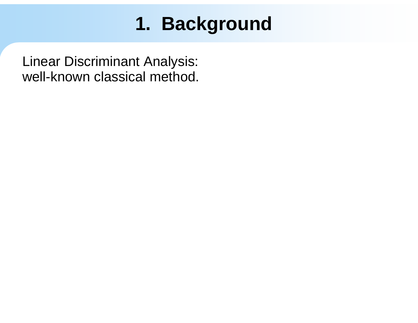Linear Discriminant Analysis: well-known classical method.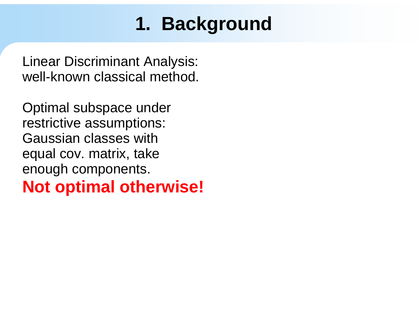Linear Discriminant Analysis: well-known classical method.

Optimal subspace under restrictive assumptions: Gaussian classes with equal cov. matrix, take enough components. **Not optimal otherwise!**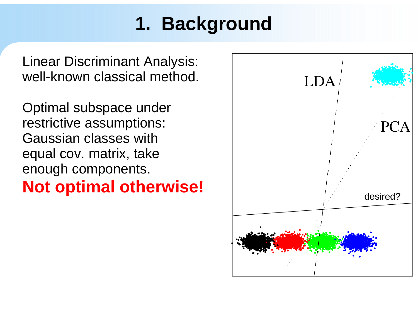Linear Discriminant Analysis: well-known classical method.

Optimal subspace under restrictive assumptions: Gaussian classes with equal cov. matrix, take enough components.

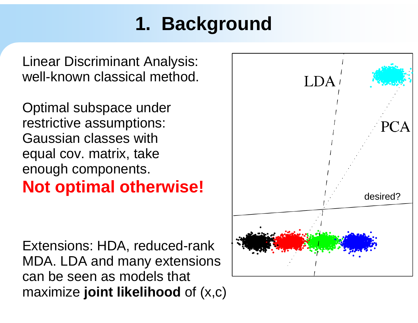Linear Discriminant Analysis: well-known classical method.

Optimal subspace under restrictive assumptions: Gaussian classes with equal cov. matrix, take enough components.

Extensions: HDA, reduced-rank MDA. LDA and many extensions can be seen as models that maximize **joint likelihood** of (x,c)

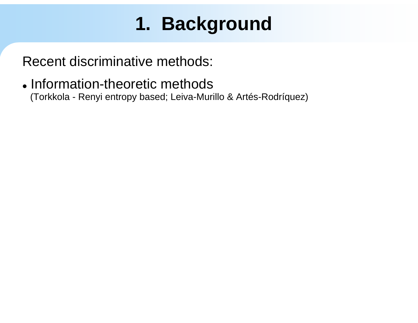Recent discriminative methods:

• Information-theoretic methods (Torkkola - Renyi entropy based; Leiva-Murillo & Artés-Rodríquez)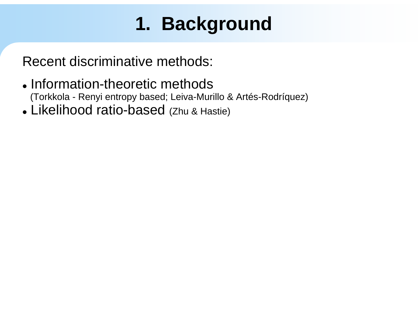- Information-theoretic methods (Torkkola - Renyi entropy based; Leiva-Murillo & Artés-Rodríquez)
- Likelihood ratio-based (Zhu & Hastie)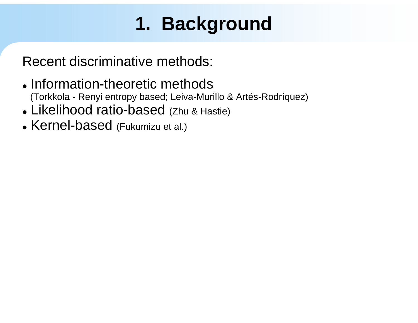- Information-theoretic methods (Torkkola - Renyi entropy based; Leiva-Murillo & Artés-Rodríquez)
- Likelihood ratio-based (Zhu & Hastie)
- Kernel-based (Fukumizu et al.)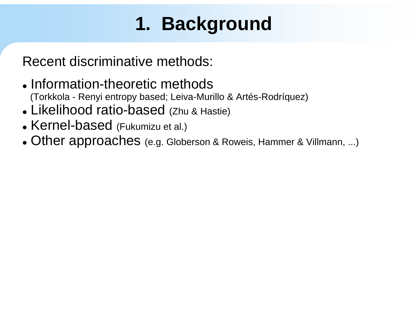- Information-theoretic methods (Torkkola - Renyi entropy based; Leiva-Murillo & Artés-Rodríquez)
- Likelihood ratio-based (Zhu & Hastie)
- Kernel-based (Fukumizu et al.)
- z Other approaches (e.g. Globerson & Roweis, Hammer & Villmann, ...)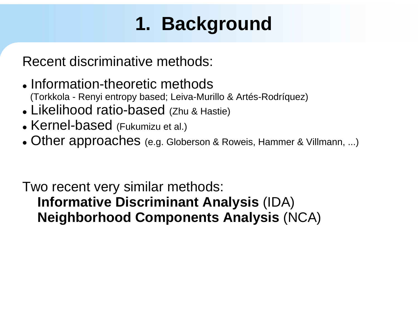Recent discriminative methods:

- Information-theoretic methods (Torkkola - Renyi entropy based; Leiva-Murillo & Artés-Rodríquez)
- Likelihood ratio-based (Zhu & Hastie)
- Kernel-based (Fukumizu et al.)
- z Other approaches (e.g. Globerson & Roweis, Hammer & Villmann, ...)

Two recent very similar methods: **Informative Discriminant Analysis** (IDA) **Neighborhood Components Analysis** (NCA)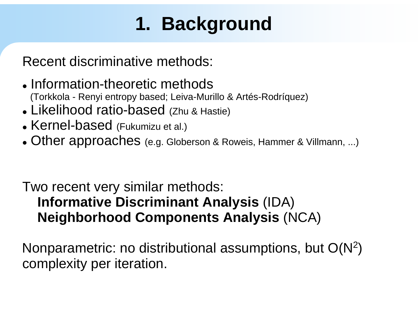Recent discriminative methods:

- Information-theoretic methods (Torkkola - Renyi entropy based; Leiva-Murillo & Artés-Rodríquez)
- Likelihood ratio-based (Zhu & Hastie)
- Kernel-based (Fukumizu et al.)
- z Other approaches (e.g. Globerson & Roweis, Hammer & Villmann, ...)

#### Two recent very similar methods: **Informative Discriminant Analysis** (IDA) **Neighborhood Components Analysis** (NCA)

Nonparametric: no distributional assumptions, but  $O(N^2)$ complexity per iteration.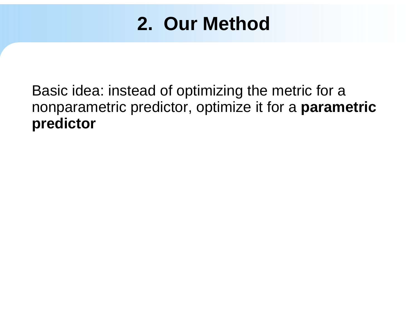Basic idea: instead of optimizing the metric for a nonparametric predictor, optimize it for a **parametric predictor**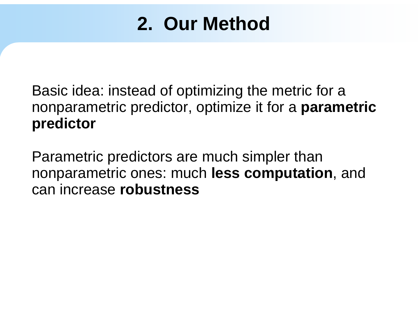Basic idea: instead of optimizing the metric for a nonparametric predictor, optimize it for a **parametric predictor**

Parametric predictors are much simpler than nonparametric ones: much **less computation**, and can increase **robustness**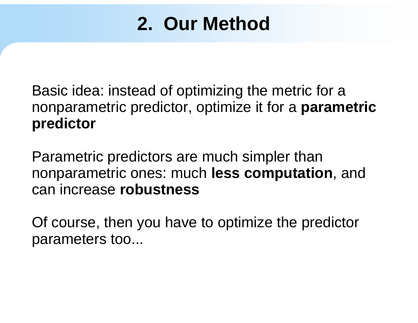Basic idea: instead of optimizing the metric for a nonparametric predictor, optimize it for a **parametric predictor**

Parametric predictors are much simpler than nonparametric ones: much **less computation**, and can increase **robustness**

Of course, then you have to optimize the predictor parameters too...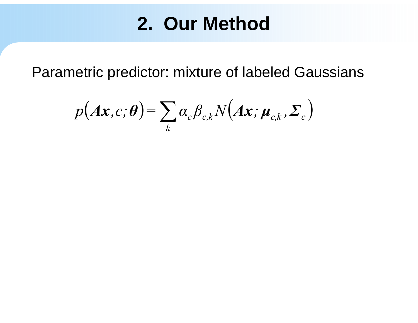Parametric predictor: mixture of labeled Gaussians

$$
p(A\mathbf{x},c;\boldsymbol{\theta}) = \sum_{k} \alpha_{c} \beta_{c,k} N(A\mathbf{x};\boldsymbol{\mu}_{c,k},\boldsymbol{\Sigma}_{c})
$$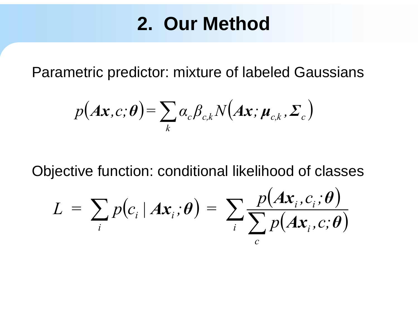Parametric predictor: mixture of labeled Gaussians

$$
p(A\mathbf{x},c;\boldsymbol{\theta}) = \sum_{k} \alpha_{c} \beta_{c,k} N(A\mathbf{x};\boldsymbol{\mu}_{c,k},\boldsymbol{\Sigma}_{c})
$$

Objective function: conditional likelihood of classes

$$
L = \sum_{i} p(c_i | Ax_i; \theta) = \sum_{i} \frac{p(Ax_i, c_i; \theta)}{\sum_{c} p(Ax_i, c; \theta)}
$$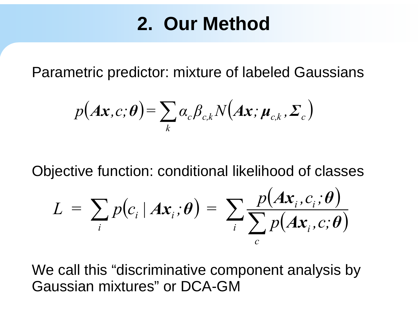Parametric predictor: mixture of labeled Gaussians

$$
p(Ax, c; \theta) = \sum_{k} \alpha_{c} \beta_{c,k} N(Ax; \mu_{c,k}, \Sigma_{c})
$$

Objective function: conditional likelihood of classes

$$
L = \sum_{i} p(c_i | Ax_i; \theta) = \sum_{i} \frac{p(Ax_i, c_i; \theta)}{\sum_{c} p(Ax_i, c; \theta)}
$$

We call this "discriminative component analysis by Gaussian mixtures" or DCA-GM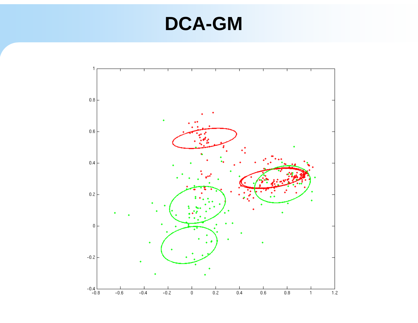### **DCA-GM**

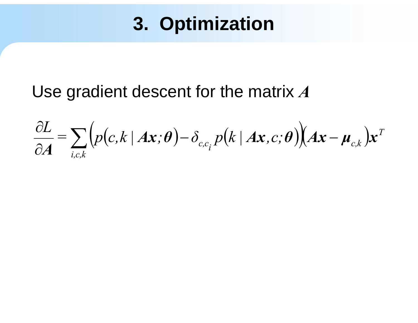#### Use gradient descent for the matrix A

$$
\frac{\partial L}{\partial A} = \sum_{i,c,k} \Big( p(c,k \mid Ax;\theta) - \delta_{c,c_i} p(k \mid Ax,c;\theta) \Big) \Big| Ax - \mu_{c,k} \Big) x^T
$$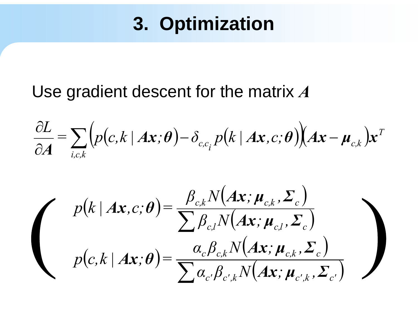#### Use gradient descent for the matrix *A*

$$
\frac{\partial L}{\partial A} = \sum_{i,c,k} \Big( p(c,k \mid Ax;\theta) - \delta_{c,c_i} p(k \mid Ax,c;\theta) \Big) \Big( Ax - \mu_{c,k} \Big) x^T
$$

$$
p(k | Ax, c; \theta) = \frac{\beta_{c,k} N(Ax; \mu_{c,k}, \Sigma_c)}{\sum \beta_{c,l} N(Ax; \mu_{c,l}, \Sigma_c)}
$$

$$
p(c, k | Ax; \theta) = \frac{\alpha_c \beta_{c,k} N(Ax; \mu_{c,k}, \Sigma_c)}{\sum \alpha_c \beta_{c',k} N(Ax; \mu_{c',k}, \Sigma_c)}
$$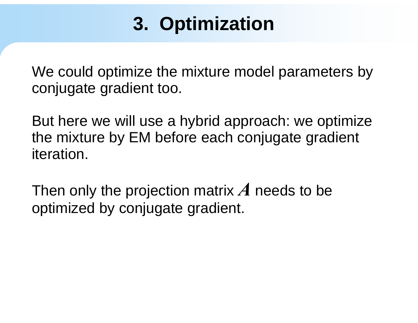We could optimize the mixture model parameters by conjugate gradient too.

But here we will use a hybrid approach: we optimize the mixture by EM before each conjugate gradient iteration.

Then only the projection matrix *A* needs to be optimized by conjugate gradient.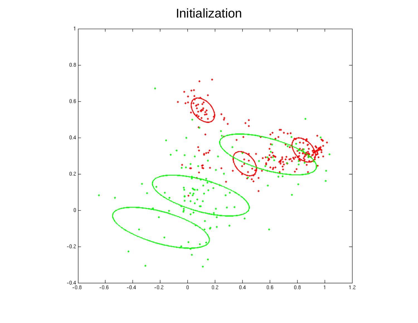Initialization

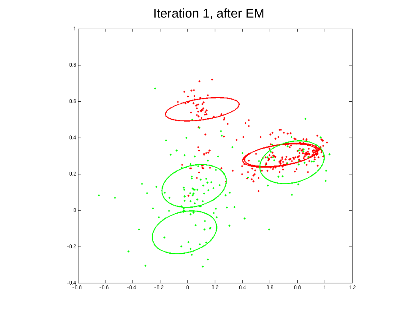Iteration 1, after EM

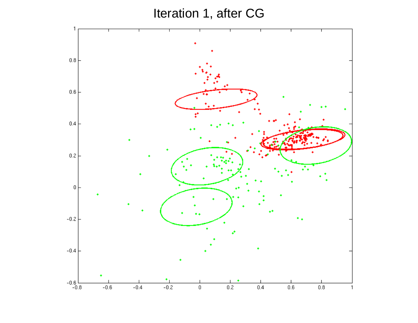Iteration 1, after CG

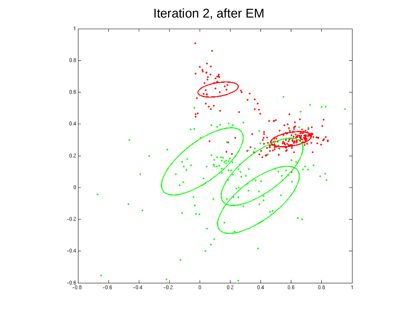Iteration 2, after EM

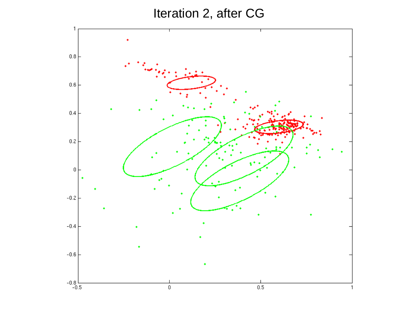Iteration 2, after CG

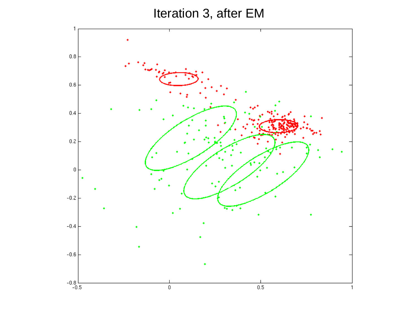Iteration 3, after EM

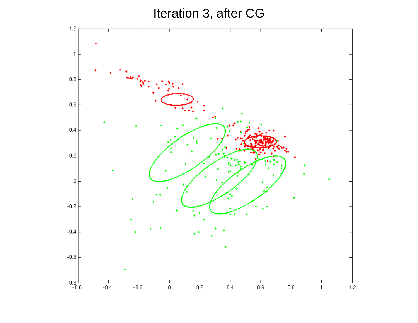Iteration 3, after CG

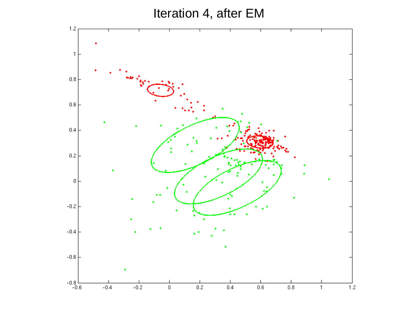Iteration 4, after EM

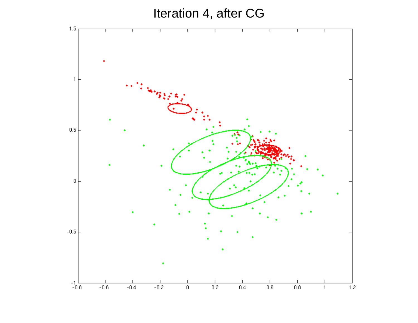Iteration 4, after CG

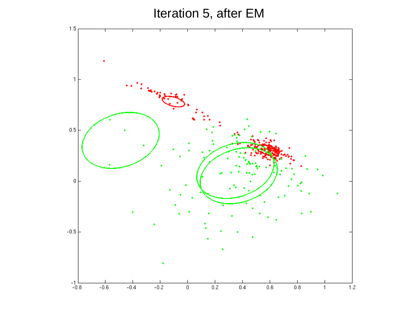#### Iteration 5, after EM

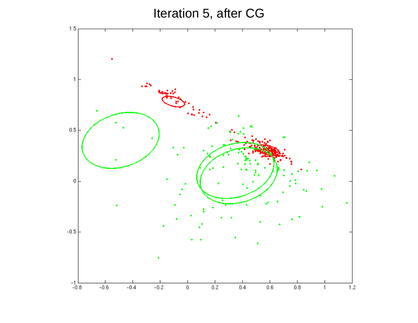Iteration 5, after CG

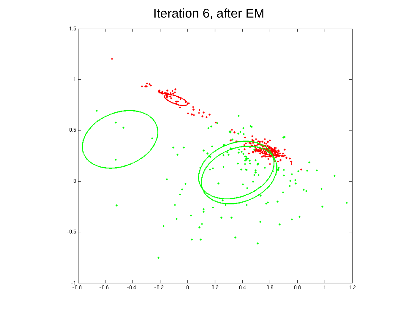Iteration 6, after EM

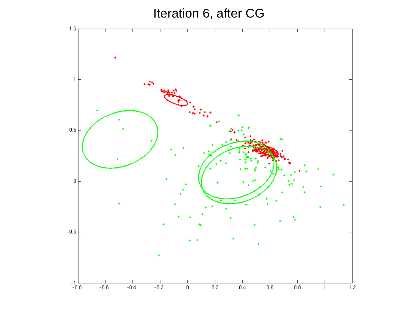Iteration 6, after CG

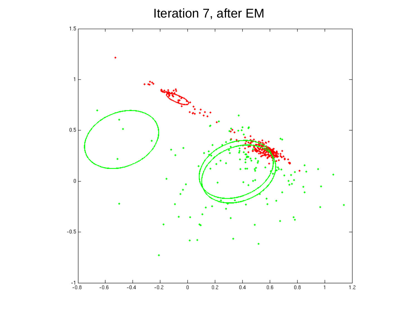Iteration 7, after EM

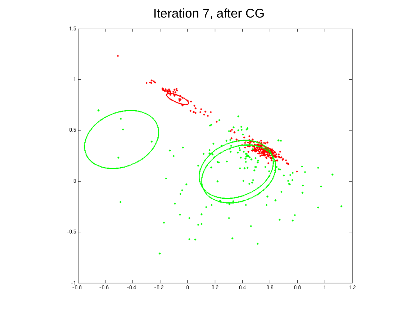Iteration 7, after CG

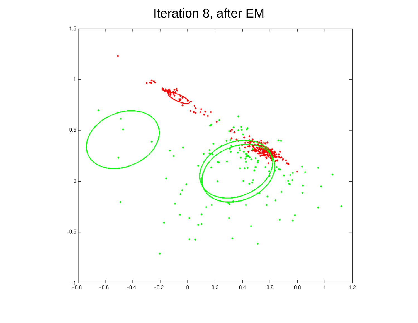Iteration 8, after EM

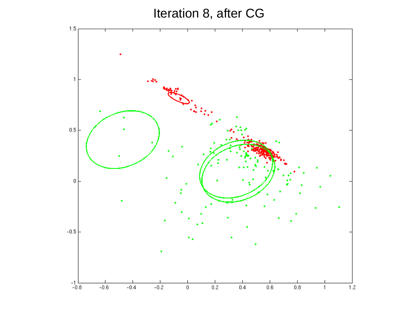Iteration 8, after CG

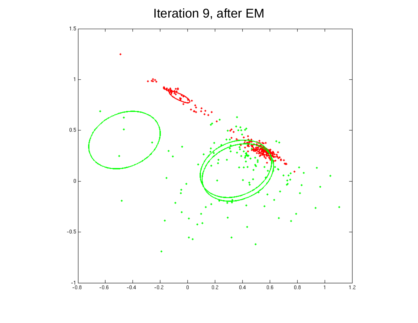Iteration 9, after EM

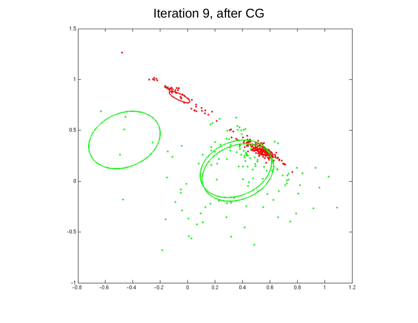Iteration 9, after CG

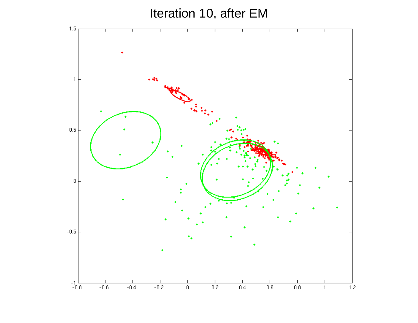Iteration 10, after EM

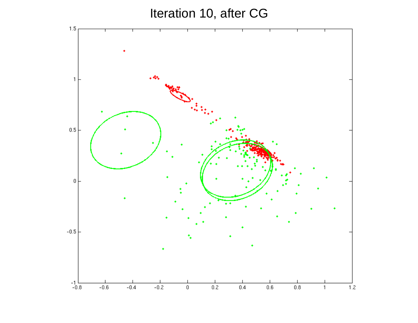Iteration 10, after CG

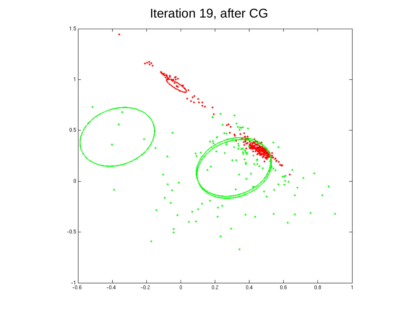Iteration 19, after CG

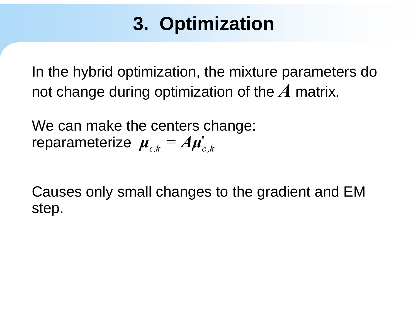In the hybrid optimization, the mixture parameters do not change during optimization of the *A* matrix.

We can make the centers change: reparameterize  $\boldsymbol{\mu}_{c,k}$ *=* $\boldsymbol{\mu}_{c,k}^{} = A \boldsymbol{\mu}_{c,k}^{\prime}$ 

Causes only small changes to the gradient and EM step.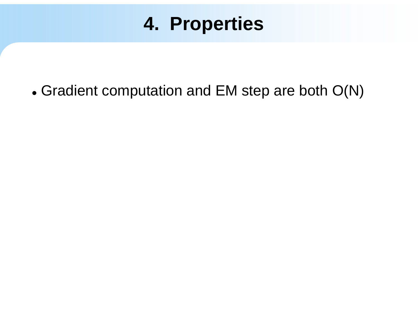## 4. Properties

• Gradient computation and EM step are both O(N)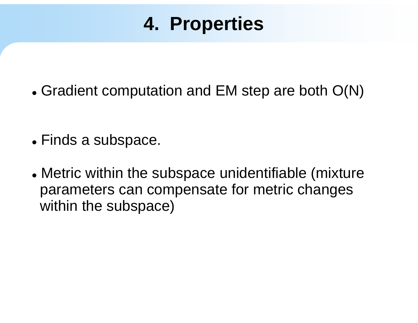# **4. Properties**

 $\bullet$  Gradient computation and EM step are both O(N)

- $\bullet$  Finds a subspace.
- Metric within the subspace unidentifiable (mixture parameters can compensate for metric changes within the subspace)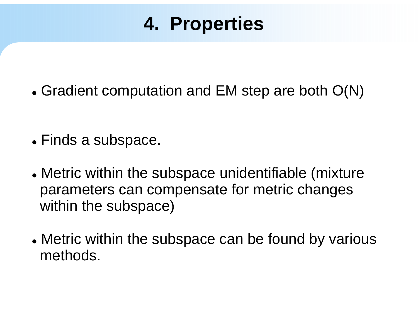# **4. Properties**

 $\bullet$  Gradient computation and EM step are both O(N)

- $\bullet$  Finds a subspace.
- Metric within the subspace unidentifiable (mixture parameters can compensate for metric changes within the subspace)
- Metric within the subspace can be found by various methods.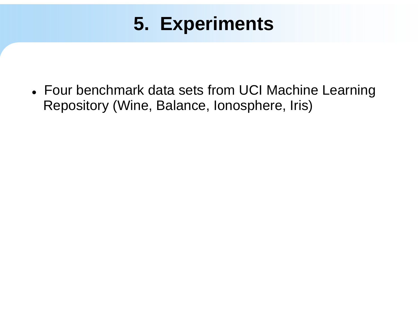• Four benchmark data sets from UCI Machine Learning Repository (Wine, Balance, Ionosphere, Iris)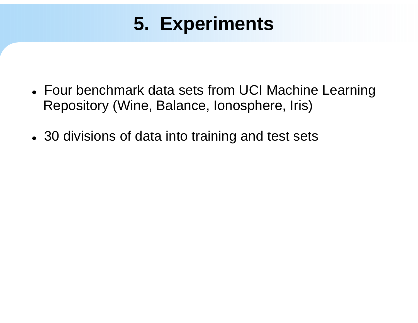- Four benchmark data sets from UCI Machine Learning Repository (Wine, Balance, Ionosphere, Iris)
- 30 divisions of data into training and test sets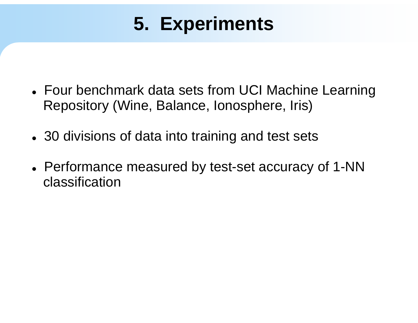- Four benchmark data sets from UCI Machine Learning Repository (Wine, Balance, Ionosphere, Iris)
- 30 divisions of data into training and test sets
- Performance measured by test-set accuracy of 1-NN classification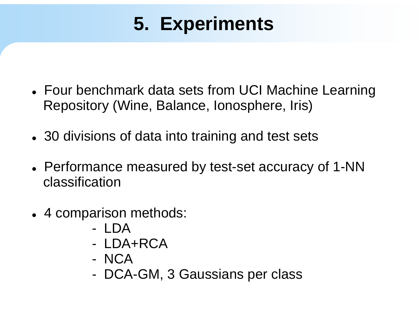- Four benchmark data sets from UCI Machine Learning Repository (Wine, Balance, Ionosphere, Iris)
- 30 divisions of data into training and test sets
- Performance measured by test-set accuracy of 1-NN classification
- 4 comparison methods:
	- LDA
	- LDA+RCA
	- NCA
	- -DCA-GM, 3 Gaussians per class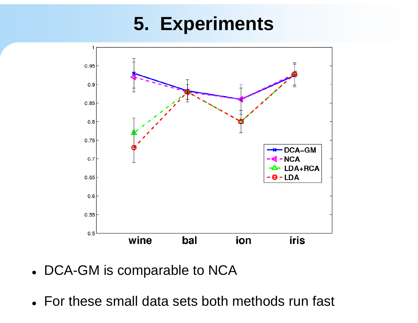

- DCA-GM is comparable to NCA
- For these small data sets both methods run fast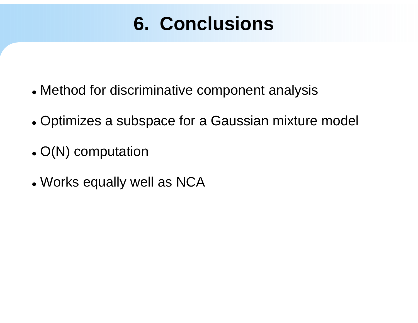# **6. Conclusions**

- Method for discriminative component analysis
- Optimizes a subspace for a Gaussian mixture model
- $\bullet$  O(N) computation
- Works equally well as NCA